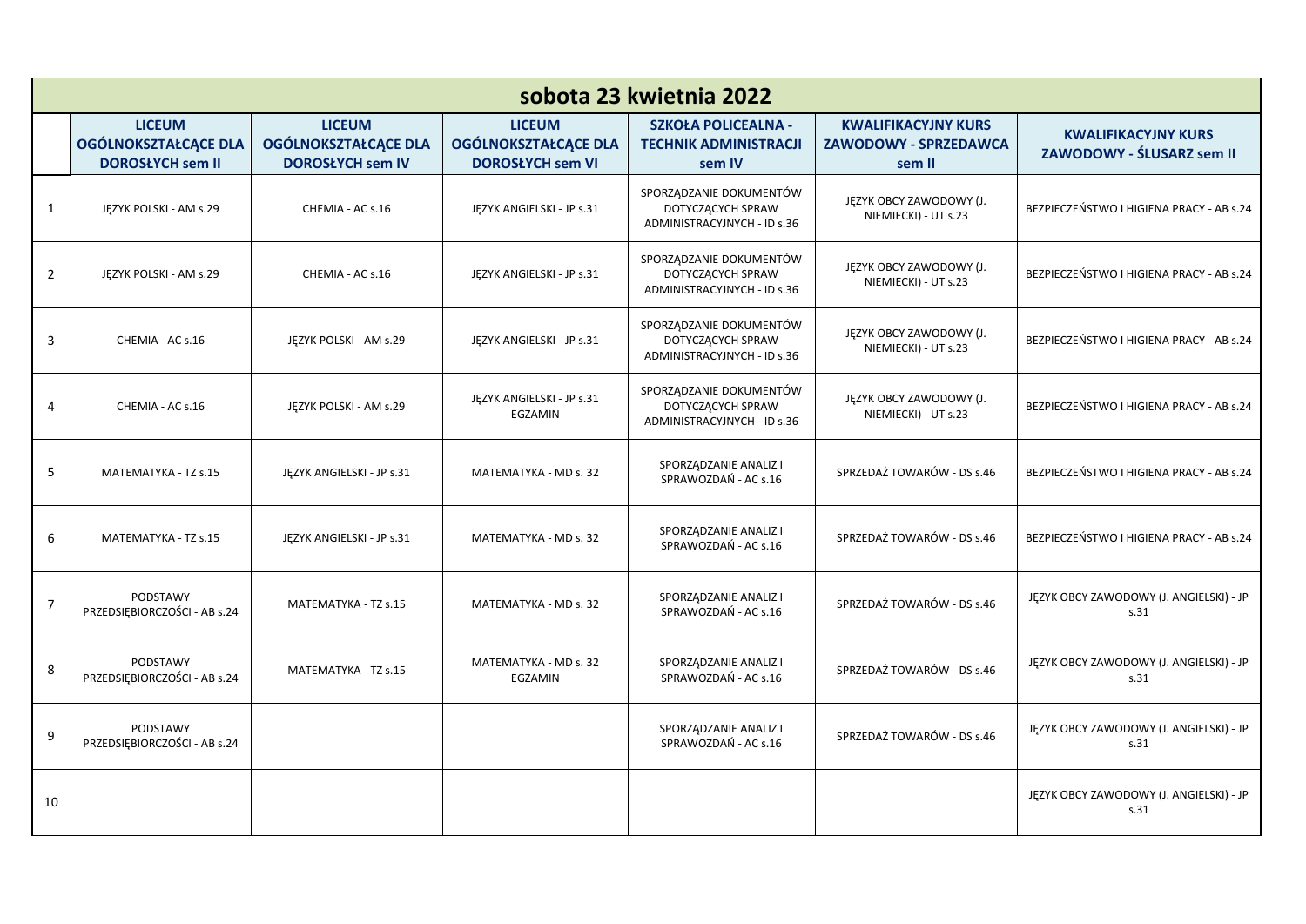| sobota 23 kwietnia 2022 |                                                                         |                                                                         |                                                                         |                                                                             |                                                                      |                                                         |  |  |  |
|-------------------------|-------------------------------------------------------------------------|-------------------------------------------------------------------------|-------------------------------------------------------------------------|-----------------------------------------------------------------------------|----------------------------------------------------------------------|---------------------------------------------------------|--|--|--|
|                         | <b>LICEUM</b><br><b>OGÓLNOKSZTAŁCĄCE DLA</b><br><b>DOROSŁYCH sem II</b> | <b>LICEUM</b><br><b>OGÓLNOKSZTAŁCĄCE DLA</b><br><b>DOROSŁYCH sem IV</b> | <b>LICEUM</b><br><b>OGÓLNOKSZTAŁCĄCE DLA</b><br><b>DOROSŁYCH sem VI</b> | <b>SZKOŁA POLICEALNA -</b><br><b>TECHNIK ADMINISTRACJI</b><br>sem IV        | <b>KWALIFIKACYJNY KURS</b><br><b>ZAWODOWY - SPRZEDAWCA</b><br>sem II | <b>KWALIFIKACYJNY KURS</b><br>ZAWODOWY - ŚLUSARZ sem II |  |  |  |
| $\mathbf{1}$            | JĘZYK POLSKI - AM s.29                                                  | CHEMIA - AC s.16                                                        | JĘZYK ANGIELSKI - JP s.31                                               | SPORZĄDZANIE DOKUMENTÓW<br>DOTYCZĄCYCH SPRAW<br>ADMINISTRACYJNYCH - ID s.36 | JĘZYK OBCY ZAWODOWY (J.<br>NIEMIECKI) - UT s.23                      | BEZPIECZEŃSTWO I HIGIENA PRACY - AB s.24                |  |  |  |
| $\overline{2}$          | JĘZYK POLSKI - AM s.29                                                  | CHEMIA - AC s.16                                                        | JĘZYK ANGIELSKI - JP s.31                                               | SPORZĄDZANIE DOKUMENTÓW<br>DOTYCZĄCYCH SPRAW<br>ADMINISTRACYJNYCH - ID s.36 | JĘZYK OBCY ZAWODOWY (J.<br>NIEMIECKI) - UT s.23                      | BEZPIECZEŃSTWO I HIGIENA PRACY - AB s.24                |  |  |  |
| 3                       | CHEMIA - AC s.16                                                        | JEZYK POLSKI - AM s.29                                                  | JĘZYK ANGIELSKI - JP s.31                                               | SPORZĄDZANIE DOKUMENTÓW<br>DOTYCZĄCYCH SPRAW<br>ADMINISTRACYJNYCH - ID s.36 | JĘZYK OBCY ZAWODOWY (J.<br>NIEMIECKI) - UT s.23                      | BEZPIECZEŃSTWO I HIGIENA PRACY - AB s.24                |  |  |  |
| 4                       | CHEMIA - AC s.16                                                        | JEZYK POLSKI - AM s.29                                                  | JĘZYK ANGIELSKI - JP s.31<br>EGZAMIN                                    | SPORZĄDZANIE DOKUMENTÓW<br>DOTYCZĄCYCH SPRAW<br>ADMINISTRACYJNYCH - ID s.36 | JĘZYK OBCY ZAWODOWY (J.<br>NIEMIECKI) - UT s.23                      | BEZPIECZEŃSTWO I HIGIENA PRACY - AB s.24                |  |  |  |
| 5                       | MATEMATYKA - TZ s.15                                                    | JĘZYK ANGIELSKI - JP s.31                                               | MATEMATYKA - MD s. 32                                                   | SPORZĄDZANIE ANALIZ I<br>SPRAWOZDAŃ - AC s.16                               | SPRZEDAŻ TOWARÓW - DS s.46                                           | BEZPIECZEŃSTWO I HIGIENA PRACY - AB s.24                |  |  |  |
| 6                       | MATEMATYKA - TZ s.15                                                    | JEZYK ANGIELSKI - JP s.31                                               | MATEMATYKA - MD s. 32                                                   | SPORZĄDZANIE ANALIZ I<br>SPRAWOZDAŃ - AC s.16                               | SPRZEDAŻ TOWARÓW - DS s.46                                           | BEZPIECZEŃSTWO I HIGIENA PRACY - AB s.24                |  |  |  |
| $\overline{7}$          | PODSTAWY<br>PRZEDSIĘBIORCZOŚCI - AB s.24                                | MATEMATYKA - TZ s.15                                                    | MATEMATYKA - MD s. 32                                                   | SPORZĄDZANIE ANALIZ I<br>SPRAWOZDAŃ - AC s.16                               | SPRZEDAŻ TOWARÓW - DS s.46                                           | JĘZYK OBCY ZAWODOWY (J. ANGIELSKI) - JP<br>s.31         |  |  |  |
| 8                       | PODSTAWY<br>PRZEDSIĘBIORCZOŚCI - AB s.24                                | MATEMATYKA - TZ s.15                                                    | MATEMATYKA - MD s. 32<br>EGZAMIN                                        | SPORZĄDZANIE ANALIZ I<br>SPRAWOZDAŃ - AC s.16                               | SPRZEDAŻ TOWARÓW - DS s.46                                           | JĘZYK OBCY ZAWODOWY (J. ANGIELSKI) - JP<br>s.31         |  |  |  |
| 9                       | PODSTAWY<br>PRZEDSIĘBIORCZOŚCI - AB s.24                                |                                                                         |                                                                         | SPORZĄDZANIE ANALIZ I<br>SPRAWOZDAŃ - AC s.16                               | SPRZEDAŻ TOWARÓW - DS s.46                                           | JĘZYK OBCY ZAWODOWY (J. ANGIELSKI) - JP<br>s.31         |  |  |  |
| 10                      |                                                                         |                                                                         |                                                                         |                                                                             |                                                                      | JĘZYK OBCY ZAWODOWY (J. ANGIELSKI) - JP<br>s.31         |  |  |  |